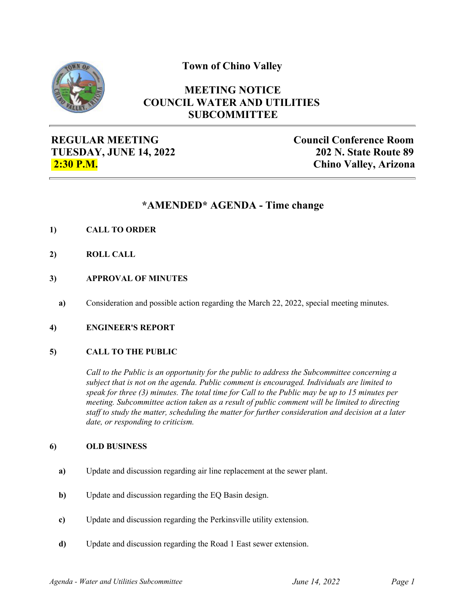**Town of Chino Valley**



## **MEETING NOTICE COUNCIL WATER AND UTILITIES SUBCOMMITTEE**

**REGULAR MEETING TUESDAY, JUNE 14, 2022 2:30 P.M.**

**Council Conference Room 202 N. State Route 89 Chino Valley, Arizona**

# **\*AMENDED\* AGENDA - Time change**

- **1) CALL TO ORDER**
- **2) ROLL CALL**
- **3) APPROVAL OF MINUTES**
	- **a)** Consideration and possible action regarding the March 22, 2022, special meeting minutes.
- **4) ENGINEER'S REPORT**

## **5) CALL TO THE PUBLIC**

*Call to the Public is an opportunity for the public to address the Subcommittee concerning a subject that is not on the agenda. Public comment is encouraged. Individuals are limited to speak for three (3) minutes. The total time for Call to the Public may be up to 15 minutes per meeting. Subcommittee action taken as a result of public comment will be limited to directing staff to study the matter, scheduling the matter for further consideration and decision at a later date, or responding to criticism.*

#### **6) OLD BUSINESS**

- **a)** Update and discussion regarding air line replacement at the sewer plant.
- **b)** Update and discussion regarding the EQ Basin design.
- **c)** Update and discussion regarding the Perkinsville utility extension.
- **d)** Update and discussion regarding the Road 1 East sewer extension.